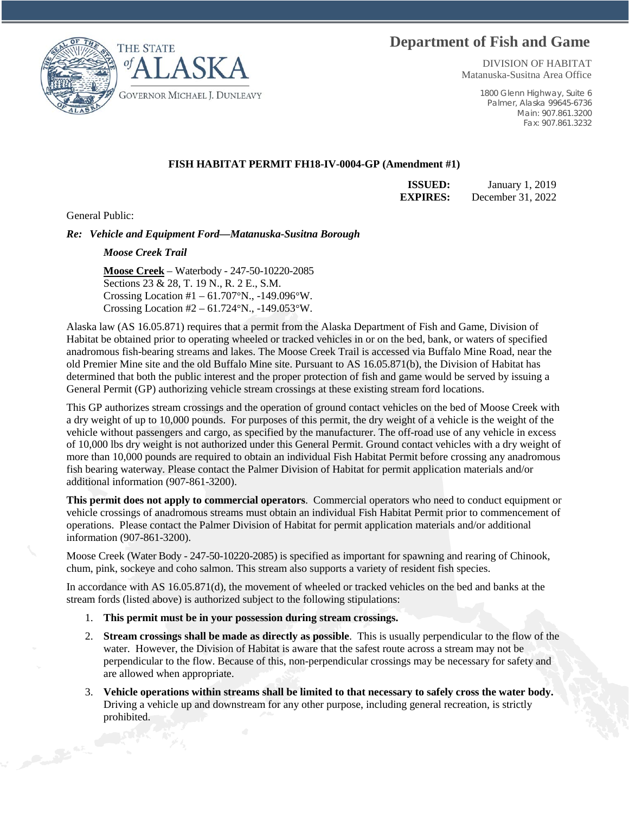## **Department of Fish and Game**





DIVISION OF HABITAT Matanuska-Susitna Area Office

> 1800 Glenn Highway, Suite 6 Palmer, Alaska 99645-6736 Main: 907.861.3200 Fax: 907.861.3232

## **FISH HABITAT PERMIT FH18-IV-0004-GP (Amendment #1)**

**ISSUED:** January 1, 2019 **EXPIRES:** December 31, 2022

General Public:

*Re: Vehicle and Equipment Ford—Matanuska-Susitna Borough* 

## *Moose Creek Trail*

**Moose Creek** – Waterbody - 247-50-10220-2085 Sections 23 & 28, T. 19 N., R. 2 E., S.M. Crossing Location #1 – 61.707°N., -149.096°W. Crossing Location #2 – 61.724°N., -149.053°W.

Alaska law (AS 16.05.871) requires that a permit from the Alaska Department of Fish and Game, Division of Habitat be obtained prior to operating wheeled or tracked vehicles in or on the bed, bank, or waters of specified anadromous fish-bearing streams and lakes. The Moose Creek Trail is accessed via Buffalo Mine Road, near the old Premier Mine site and the old Buffalo Mine site. Pursuant to AS 16.05.871(b), the Division of Habitat has determined that both the public interest and the proper protection of fish and game would be served by issuing a General Permit (GP) authorizing vehicle stream crossings at these existing stream ford locations.

This GP authorizes stream crossings and the operation of ground contact vehicles on the bed of Moose Creek with a dry weight of up to 10,000 pounds. For purposes of this permit, the dry weight of a vehicle is the weight of the vehicle without passengers and cargo, as specified by the manufacturer. The off-road use of any vehicle in excess of 10,000 lbs dry weight is not authorized under this General Permit. Ground contact vehicles with a dry weight of more than 10,000 pounds are required to obtain an individual Fish Habitat Permit before crossing any anadromous fish bearing waterway. Please contact the Palmer Division of Habitat for permit application materials and/or additional information (907-861-3200).

**This permit does not apply to commercial operators**. Commercial operators who need to conduct equipment or vehicle crossings of anadromous streams must obtain an individual Fish Habitat Permit prior to commencement of operations. Please contact the Palmer Division of Habitat for permit application materials and/or additional information (907-861-3200).

Moose Creek (Water Body - 247-50-10220-2085) is specified as important for spawning and rearing of Chinook, chum, pink, sockeye and coho salmon. This stream also supports a variety of resident fish species.

In accordance with AS 16.05.871(d), the movement of wheeled or tracked vehicles on the bed and banks at the stream fords (listed above) is authorized subject to the following stipulations:

- 1. **This permit must be in your possession during stream crossings.**
- 2. **Stream crossings shall be made as directly as possible**. This is usually perpendicular to the flow of the water. However, the Division of Habitat is aware that the safest route across a stream may not be perpendicular to the flow. Because of this, non-perpendicular crossings may be necessary for safety and are allowed when appropriate.
- 3. **Vehicle operations within streams shall be limited to that necessary to safely cross the water body.** Driving a vehicle up and downstream for any other purpose, including general recreation, is strictly prohibited.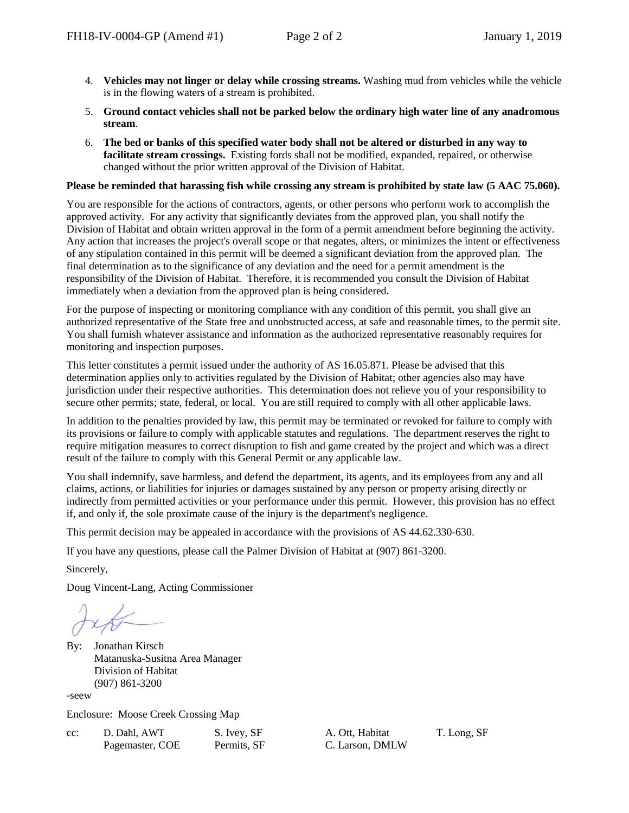- 4. **Vehicles may not linger or delay while crossing streams.** Washing mud from vehicles while the vehicle is in the flowing waters of a stream is prohibited.
- 5. **Ground contact vehicles shall not be parked below the ordinary high water line of any anadromous stream**.
- 6. **The bed or banks of this specified water body shall not be altered or disturbed in any way to facilitate stream crossings.** Existing fords shall not be modified, expanded, repaired, or otherwise changed without the prior written approval of the Division of Habitat.

## **Please be reminded that harassing fish while crossing any stream is prohibited by state law (5 AAC 75.060).**

You are responsible for the actions of contractors, agents, or other persons who perform work to accomplish the approved activity. For any activity that significantly deviates from the approved plan, you shall notify the Division of Habitat and obtain written approval in the form of a permit amendment before beginning the activity. Any action that increases the project's overall scope or that negates, alters, or minimizes the intent or effectiveness of any stipulation contained in this permit will be deemed a significant deviation from the approved plan. The final determination as to the significance of any deviation and the need for a permit amendment is the responsibility of the Division of Habitat. Therefore, it is recommended you consult the Division of Habitat immediately when a deviation from the approved plan is being considered.

For the purpose of inspecting or monitoring compliance with any condition of this permit, you shall give an authorized representative of the State free and unobstructed access, at safe and reasonable times, to the permit site. You shall furnish whatever assistance and information as the authorized representative reasonably requires for monitoring and inspection purposes.

This letter constitutes a permit issued under the authority of AS 16.05.871. Please be advised that this determination applies only to activities regulated by the Division of Habitat; other agencies also may have jurisdiction under their respective authorities. This determination does not relieve you of your responsibility to secure other permits; state, federal, or local. You are still required to comply with all other applicable laws.

In addition to the penalties provided by law, this permit may be terminated or revoked for failure to comply with its provisions or failure to comply with applicable statutes and regulations. The department reserves the right to require mitigation measures to correct disruption to fish and game created by the project and which was a direct result of the failure to comply with this General Permit or any applicable law.

You shall indemnify, save harmless, and defend the department, its agents, and its employees from any and all claims, actions, or liabilities for injuries or damages sustained by any person or property arising directly or indirectly from permitted activities or your performance under this permit. However, this provision has no effect if, and only if, the sole proximate cause of the injury is the department's negligence.

This permit decision may be appealed in accordance with the provisions of AS 44.62.330-630.

If you have any questions, please call the Palmer Division of Habitat at (907) 861-3200.

Sincerely,

Doug Vincent-Lang, Acting Commissioner

By: Jonathan Kirsch Matanuska-Susitna Area Manager Division of Habitat (907) 861-3200

-seew

Enclosure: Moose Creek Crossing Map

| $cc$ : | D. Dahl, AWT    | S. Ivey, SF |
|--------|-----------------|-------------|
|        | Pagemaster, COE | Permits, SF |

A. Ott. Habitat C. Larson, DMLW T. Long, SF